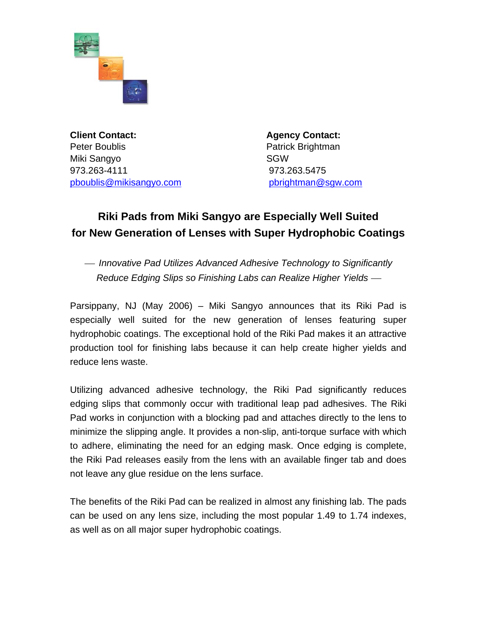

**Client Contact:** Agency Contact: Peter Boublis **Patrick Brightman** Miki Sangyo **SGW** 973.263-4111 973.263.5475 [pboublis@mikisangyo.com](mailto:pboublis@mikisangyo.com) [pbrightman@sgw.com](mailto:pbrightman@sgw.com)

## **Riki Pads from Miki Sangyo are Especially Well Suited for New Generation of Lenses with Super Hydrophobic Coatings**

<sup>⎯</sup> *Innovative Pad Utilizes Advanced Adhesive Technology to Significantly Reduce Edging Slips so Finishing Labs can Realize Higher Yields —* 

Parsippany, NJ (May 2006) – Miki Sangyo announces that its Riki Pad is especially well suited for the new generation of lenses featuring super hydrophobic coatings. The exceptional hold of the Riki Pad makes it an attractive production tool for finishing labs because it can help create higher yields and reduce lens waste.

Utilizing advanced adhesive technology, the Riki Pad significantly reduces edging slips that commonly occur with traditional leap pad adhesives. The Riki Pad works in conjunction with a blocking pad and attaches directly to the lens to minimize the slipping angle. It provides a non-slip, anti-torque surface with which to adhere, eliminating the need for an edging mask. Once edging is complete, the Riki Pad releases easily from the lens with an available finger tab and does not leave any glue residue on the lens surface.

The benefits of the Riki Pad can be realized in almost any finishing lab. The pads can be used on any lens size, including the most popular 1.49 to 1.74 indexes, as well as on all major super hydrophobic coatings.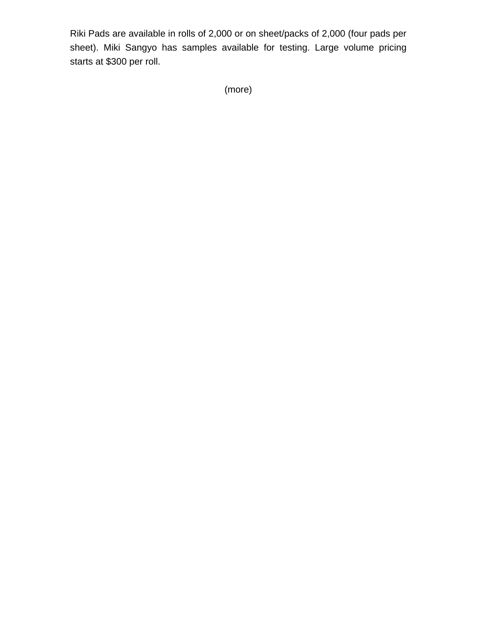Riki Pads are available in rolls of 2,000 or on sheet/packs of 2,000 (four pads per sheet). Miki Sangyo has samples available for testing. Large volume pricing starts at \$300 per roll.

(more)